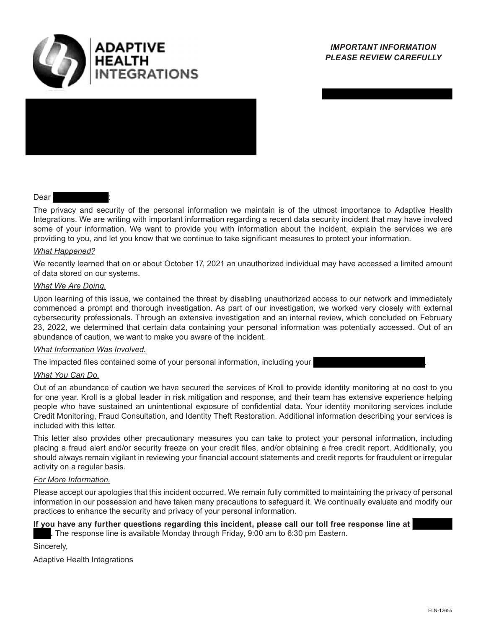



## **Dear**

The privacy and security of the personal information we maintain is of the utmost importance to Adaptive Health Integrations. We are writing with important information regarding a recent data security incident that may have involved some of your information. We want to provide you with information about the incident, explain the services we are providing to you, and let you know that we continue to take significant measures to protect your information.

## *What Happened?*

We recently learned that on or about October 17, 2021 an unauthorized individual may have accessed a limited amount of data stored on our systems.

## *What We Are Doing.*

Upon learning of this issue, we contained the threat by disabling unauthorized access to our network and immediately commenced a prompt and thorough investigation. As part of our investigation, we worked very closely with external cybersecurity professionals. Through an extensive investigation and an internal review, which concluded on February 23, 2022, we determined that certain data containing your personal information was potentially accessed. Out of an abundance of caution, we want to make you aware of the incident.

## *What Information Was Involved.*

The impacted files contained some of your personal information, including your .

## *What You Can Do.*

Out of an abundance of caution we have secured the services of Kroll to provide identity monitoring at no cost to you for one year. Kroll is a global leader in risk mitigation and response, and their team has extensive experience helping people who have sustained an unintentional exposure of confidential data. Your identity monitoring services include Credit Monitoring, Fraud Consultation, and Identity Theft Restoration. Additional information describing your services is included with this letter.

This letter also provides other precautionary measures you can take to protect your personal information, including placing a fraud alert and/or security freeze on your credit files, and/or obtaining a free credit report. Additionally, you should always remain vigilant in reviewing your financial account statements and credit reports for fraudulent or irregular activity on a regular basis.

## *For More Information.*

Please accept our apologies that this incident occurred. We remain fully committed to maintaining the privacy of personal information in our possession and have taken many precautions to safeguard it. We continually evaluate and modify our practices to enhance the security and privacy of your personal information.

## **If you have any further questions regarding this incident, please call our toll free response line at**

**.** The response line is available Monday through Friday, 9:00 am to 6:30 pm Eastern.

Sincerely,

Adaptive Health Integrations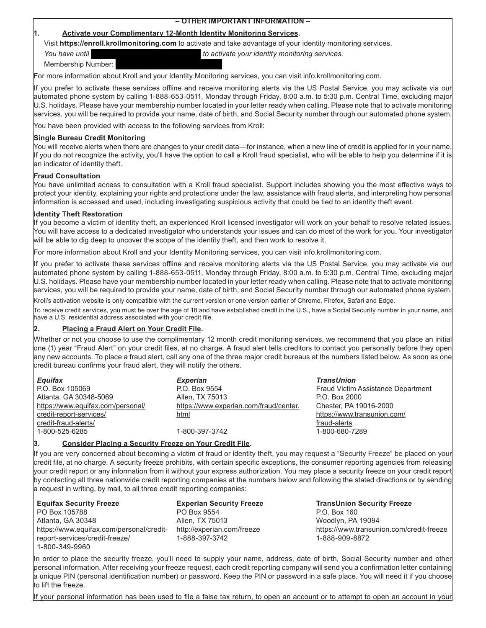# **– OTHER IMPORTANT INFORMATION –**

#### **1. Activate your Complimentary 12-Month Identity Monitoring Services.**

Visit **https://enroll.krollmonitoring.com** to activate and take advantage of your identity monitoring services.

*You have until to activate your identity monitoring services.*

Membership Number:

For more information about Kroll and your Identity Monitoring services, you can visit info.krollmonitoring.com.

If you prefer to activate these services offline and receive monitoring alerts via the US Postal Service, you may activate via our automated phone system by calling 1-888-653-0511, Monday through Friday, 8:00 a.m. to 5:30 p.m. Central Time, excluding major U.S. holidays. Please have your membership number located in your letter ready when calling. Please note that to activate monitoring services, you will be required to provide your name, date of birth, and Social Security number through our automated phone system.

You have been provided with access to the following services from Kroll:

#### **Single Bureau Credit Monitoring**

You will receive alerts when there are changes to your credit data—for instance, when a new line of credit is applied for in your name. If you do not recognize the activity, you'll have the option to call a Kroll fraud specialist, who will be able to help you determine if it is an indicator of identity theft.

## **Fraud Consultation**

You have unlimited access to consultation with a Kroll fraud specialist. Support includes showing you the most effective ways to protect your identity, explaining your rights and protections under the law, assistance with fraud alerts, and interpreting how personal information is accessed and used, including investigating suspicious activity that could be tied to an identity theft event.

## **Identity Theft Restoration**

If you become a victim of identity theft, an experienced Kroll licensed investigator will work on your behalf to resolve related issues. You will have access to a dedicated investigator who understands your issues and can do most of the work for you. Your investigator will be able to dig deep to uncover the scope of the identity theft, and then work to resolve it.

For more information about Kroll and your Identity Monitoring services, you can visit info.krollmonitoring.com.

If you prefer to activate these services offline and receive monitoring alerts via the US Postal Service, you may activate via our automated phone system by calling 1-888-653-0511, Monday through Friday, 8:00 a.m. to 5:30 p.m. Central Time, excluding major U.S. holidays. Please have your membership number located in your letter ready when calling. Please note that to activate monitoring services, you will be required to provide your name, date of birth, and Social Security number through our automated phone system.

Kroll's activation website is only compatible with the current version or one version earlier of Chrome, Firefox, Safari and Edge.

To receive credit services, you must be over the age of 18 and have established credit in the U.S., have a Social Security number in your name, and have a U.S. residential address associated with your credit file.

## **2. Placing a Fraud Alert on Your Credit File.**

Whether or not you choose to use the complimentary 12 month credit monitoring services, we recommend that you place an initial one (1) year "Fraud Alert" on your credit files, at no charge. A fraud alert tells creditors to contact you personally before they open any new accounts. To place a fraud alert, call any one of the three major credit bureaus at the numbers listed below. As soon as one credit bureau confirms your fraud alert, they will notify the others.

| <b>Equifax</b>                    | <b>Experian</b>                        | <b>TransUnion</b>                  |
|-----------------------------------|----------------------------------------|------------------------------------|
| P.O. Box 105069                   | P.O. Box 9554                          | Fraud Victim Assistance Department |
| Atlanta, GA 30348-5069            | Allen, TX 75013                        | P.O. Box 2000                      |
| https://www.equifax.com/personal/ | https://www.experian.com/fraud/center. | Chester, PA 19016-2000             |
| credit-report-services/           | html                                   | https://www.transunion.com/        |
| credit-fraud-alerts/              |                                        | fraud-alerts                       |
| 1-800-525-6285                    | 1-800-397-3742                         | 1-800-680-7289                     |
|                                   |                                        |                                    |

#### **3. Consider Placing a Security Freeze on Your Credit File.**

If you are very concerned about becoming a victim of fraud or identity theft, you may request a "Security Freeze" be placed on your credit file, at no charge. A security freeze prohibits, with certain specific exceptions, the consumer reporting agencies from releasing your credit report or any information from it without your express authorization. You may place a security freeze on your credit report by contacting all three nationwide credit reporting companies at the numbers below and following the stated directions or by sending a request in writing, by mail, to all three credit reporting companies:

**Equifax Security Freeze**  PO Box 105788 Atlanta, GA 30348 https://www.equifax.com/personal/credit-http://experian.com/freeze report-services/credit-freeze/ 1-800-349-9960

**Experian Security Freeze** PO Box 9554 Allen, TX 75013 1-888-397-3742

**TransUnion Security Freeze**  P.O. Box 160 Woodlyn, PA 19094 https://www.transunion.com/credit-freeze 1-888-909-8872

In order to place the security freeze, you'll need to supply your name, address, date of birth, Social Security number and other personal information. After receiving your freeze request, each credit reporting company will send you a confirmation letter containing a unique PIN (personal identification number) or password. Keep the PIN or password in a safe place. You will need it if you choose to lift the freeze.

If your personal information has been used to file a false tax return, to open an account or to attempt to open an account in your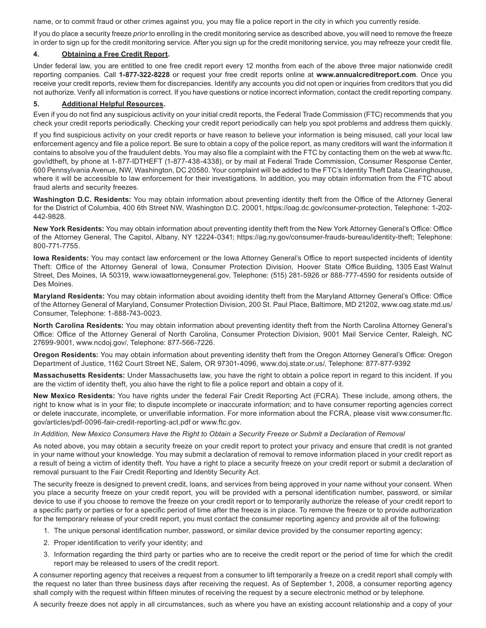name, or to commit fraud or other crimes against you, you may file a police report in the city in which you currently reside.

If you do place a security freeze *prior* to enrolling in the credit monitoring service as described above, you will need to remove the freeze in order to sign up for the credit monitoring service. After you sign up for the credit monitoring service, you may refreeze your credit file.

#### **4. Obtaining a Free Credit Report.**

Under federal law, you are entitled to one free credit report every 12 months from each of the above three major nationwide credit reporting companies. Call **1-877-322-8228** or request your free credit reports online at **www.annualcreditreport.com**. Once you receive your credit reports, review them for discrepancies. Identify any accounts you did not open or inquiries from creditors that you did not authorize. Verify all information is correct. If you have questions or notice incorrect information, contact the credit reporting company.

#### **5. Additional Helpful Resources.**

Even if you do not find any suspicious activity on your initial credit reports, the Federal Trade Commission (FTC) recommends that you check your credit reports periodically. Checking your credit report periodically can help you spot problems and address them quickly.

If you find suspicious activity on your credit reports or have reason to believe your information is being misused, call your local law enforcement agency and file a police report. Be sure to obtain a copy of the police report, as many creditors will want the information it contains to absolve you of the fraudulent debts. You may also file a complaint with the FTC by contacting them on the web at www.ftc. gov/idtheft, by phone at 1-877-IDTHEFT (1-877-438-4338), or by mail at Federal Trade Commission, Consumer Response Center, 600 Pennsylvania Avenue, NW, Washington, DC 20580. Your complaint will be added to the FTC's Identity Theft Data Clearinghouse, where it will be accessible to law enforcement for their investigations. In addition, you may obtain information from the FTC about fraud alerts and security freezes.

**Washington D.C. Residents:** You may obtain information about preventing identity theft from the Office of the Attorney General for the District of Columbia, 400 6th Street NW, Washington D.C. 20001, https://oag.dc.gov/consumer-protection, Telephone: 1-202- 442-9828.

**New York Residents:** You may obtain information about preventing identity theft from the New York Attorney General's Office: Office of the Attorney General, The Capitol, Albany, NY 12224-0341; https://ag.ny.gov/consumer-frauds-bureau/identity-theft; Telephone: 800-771-7755.

**Iowa Residents:** You may contact law enforcement or the Iowa Attorney General's Office to report suspected incidents of identity Theft: Office of the Attorney General of Iowa, Consumer Protection Division, Hoover State Office Building, 1305 East Walnut Street, Des Moines, IA 50319, www.iowaattorneygeneral.gov, Telephone: (515) 281-5926 or 888-777-4590 for residents outside of Des Moines.

**Maryland Residents:** You may obtain information about avoiding identity theft from the Maryland Attorney General's Office: Office of the Attorney General of Maryland, Consumer Protection Division, 200 St. Paul Place, Baltimore, MD 21202, www.oag.state.md.us/ Consumer, Telephone: 1-888-743-0023.

**North Carolina Residents:** You may obtain information about preventing identity theft from the North Carolina Attorney General's Office: Office of the Attorney General of North Carolina, Consumer Protection Division, 9001 Mail Service Center, Raleigh, NC 27699-9001, www.ncdoj.gov/, Telephone: 877-566-7226.

**Oregon Residents:** You may obtain information about preventing identity theft from the Oregon Attorney General's Office: Oregon Department of Justice, 1162 Court Street NE, Salem, OR 97301-4096, www.doj.state.or.us/, Telephone: 877-877-9392

**Massachusetts Residents:** Under Massachusetts law, you have the right to obtain a police report in regard to this incident. If you are the victim of identity theft, you also have the right to file a police report and obtain a copy of it.

**New Mexico Residents:** You have rights under the federal Fair Credit Reporting Act (FCRA). These include, among others, the right to know what is in your file; to dispute incomplete or inaccurate information; and to have consumer reporting agencies correct or delete inaccurate, incomplete, or unverifiable information. For more information about the FCRA, please visit www.consumer.ftc. gov/articles/pdf-0096-fair-credit-reporting-act.pdf or www.ftc.gov.

#### *In Addition, New Mexico Consumers Have the Right to Obtain a Security Freeze or Submit a Declaration of Removal*

As noted above, you may obtain a security freeze on your credit report to protect your privacy and ensure that credit is not granted in your name without your knowledge. You may submit a declaration of removal to remove information placed in your credit report as a result of being a victim of identity theft. You have a right to place a security freeze on your credit report or submit a declaration of removal pursuant to the Fair Credit Reporting and Identity Security Act.

The security freeze is designed to prevent credit, loans, and services from being approved in your name without your consent. When you place a security freeze on your credit report, you will be provided with a personal identification number, password, or similar device to use if you choose to remove the freeze on your credit report or to temporarily authorize the release of your credit report to a specific party or parties or for a specific period of time after the freeze is in place. To remove the freeze or to provide authorization for the temporary release of your credit report, you must contact the consumer reporting agency and provide all of the following:

- 1. The unique personal identification number, password, or similar device provided by the consumer reporting agency;
- 2. Proper identification to verify your identity; and
- 3. Information regarding the third party or parties who are to receive the credit report or the period of time for which the credit report may be released to users of the credit report.

A consumer reporting agency that receives a request from a consumer to lift temporarily a freeze on a credit report shall comply with the request no later than three business days after receiving the request. As of September 1, 2008, a consumer reporting agency shall comply with the request within fifteen minutes of receiving the request by a secure electronic method or by telephone.

A security freeze does not apply in all circumstances, such as where you have an existing account relationship and a copy of your